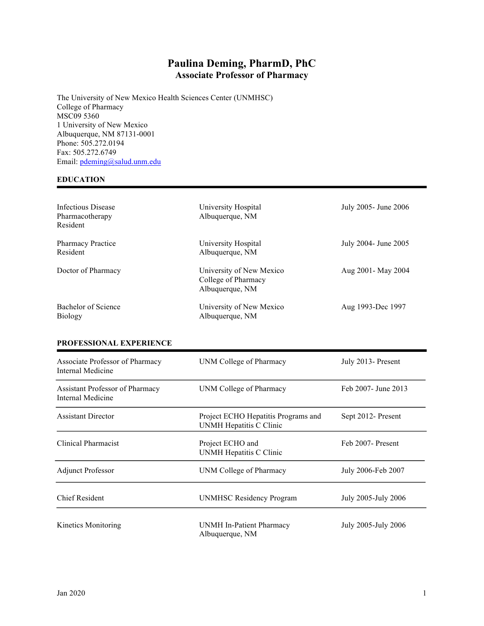# **Paulina Deming, PharmD, PhC Associate Professor of Pharmacy**

The University of New Mexico Health Sciences Center (UNMHSC) College of Pharmacy MSC09 5360 1 University of New Mexico Albuquerque, NM 87131-0001 Phone: 505.272.0194 Fax: 505.272.6749 Email: pdeming@salud.unm.edu

# **EDUCATION**

| Infectious Disease<br>Pharmacotherapy<br>Resident | University Hospital<br>Albuquerque, NM                             | July 2005- June 2006 |
|---------------------------------------------------|--------------------------------------------------------------------|----------------------|
| <b>Pharmacy Practice</b><br>Resident              | University Hospital<br>Albuquerque, NM                             | July 2004- June 2005 |
| Doctor of Pharmacy                                | University of New Mexico<br>College of Pharmacy<br>Albuquerque, NM | Aug 2001 - May 2004  |
| Bachelor of Science<br><b>Biology</b>             | University of New Mexico<br>Albuquerque, NM                        | Aug 1993-Dec 1997    |

#### **PROFESSIONAL EXPERIENCE**

| Associate Professor of Pharmacy<br>Internal Medicine        | UNM College of Pharmacy                                        | July 2013 - Present  |
|-------------------------------------------------------------|----------------------------------------------------------------|----------------------|
| <b>Assistant Professor of Pharmacy</b><br>Internal Medicine | UNM College of Pharmacy                                        | Feb 2007 - June 2013 |
| <b>Assistant Director</b>                                   | Project ECHO Hepatitis Programs and<br>UNMH Hepatitis C Clinic | Sept 2012- Present   |
| Clinical Pharmacist                                         | Project ECHO and<br>UNMH Hepatitis C Clinic                    | Feb 2007- Present    |
| <b>Adjunct Professor</b>                                    | UNM College of Pharmacy                                        | July 2006-Feb 2007   |
| <b>Chief Resident</b>                                       | <b>UNMHSC Residency Program</b>                                | July 2005-July 2006  |
| Kinetics Monitoring                                         | UNMH In-Patient Pharmacy<br>Albuquerque, NM                    | July 2005-July 2006  |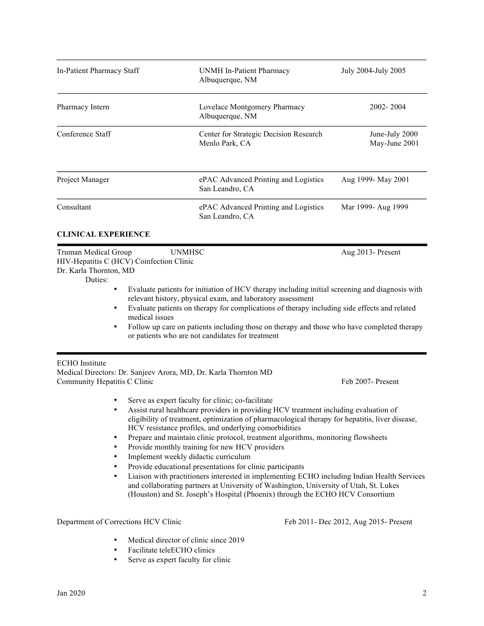| In-Patient Pharmacy Staff                                                                                   |                                                                      | UNMH In-Patient Pharmacy<br>Albuquerque, NM                                                                                                                                                                                                                                                                                                                                                                                                                                                                                                                                                                                                                                                                                                                                                                                                           | July 2004-July 2005                   |
|-------------------------------------------------------------------------------------------------------------|----------------------------------------------------------------------|-------------------------------------------------------------------------------------------------------------------------------------------------------------------------------------------------------------------------------------------------------------------------------------------------------------------------------------------------------------------------------------------------------------------------------------------------------------------------------------------------------------------------------------------------------------------------------------------------------------------------------------------------------------------------------------------------------------------------------------------------------------------------------------------------------------------------------------------------------|---------------------------------------|
| Pharmacy Intern                                                                                             |                                                                      | Lovelace Montgomery Pharmacy<br>Albuquerque, NM                                                                                                                                                                                                                                                                                                                                                                                                                                                                                                                                                                                                                                                                                                                                                                                                       | 2002-2004                             |
| Conference Staff                                                                                            |                                                                      | Center for Strategic Decision Research<br>Menlo Park, CA                                                                                                                                                                                                                                                                                                                                                                                                                                                                                                                                                                                                                                                                                                                                                                                              | June-July 2000<br>May-June 2001       |
| Project Manager                                                                                             |                                                                      | ePAC Advanced Printing and Logistics<br>San Leandro, CA                                                                                                                                                                                                                                                                                                                                                                                                                                                                                                                                                                                                                                                                                                                                                                                               | Aug 1999- May 2001                    |
| Consultant                                                                                                  |                                                                      | ePAC Advanced Printing and Logistics<br>San Leandro, CA                                                                                                                                                                                                                                                                                                                                                                                                                                                                                                                                                                                                                                                                                                                                                                                               | Mar 1999- Aug 1999                    |
| <b>CLINICAL EXPERIENCE</b>                                                                                  |                                                                      |                                                                                                                                                                                                                                                                                                                                                                                                                                                                                                                                                                                                                                                                                                                                                                                                                                                       |                                       |
| Dr. Karla Thornton, MD<br>Duties:<br>٠<br>٠<br>٠                                                            | medical issues                                                       | Evaluate patients for initiation of HCV therapy including initial screening and diagnosis with<br>relevant history, physical exam, and laboratory assessment<br>Evaluate patients on therapy for complications of therapy including side effects and related<br>Follow up care on patients including those on therapy and those who have completed therapy<br>or patients who are not candidates for treatment                                                                                                                                                                                                                                                                                                                                                                                                                                        |                                       |
| <b>ECHO</b> Institute<br>Community Hepatitis C Clinic<br>٠<br>$\bullet$<br>$\bullet$<br>$\bullet$<br>٠<br>٠ | Implement weekly didactic curriculum                                 | Medical Directors: Dr. Sanjeev Arora, MD, Dr. Karla Thornton MD<br>Serve as expert faculty for clinic; co-facilitate<br>Assist rural healthcare providers in providing HCV treatment including evaluation of<br>eligibility of treatment, optimization of pharmacological therapy for hepatitis, liver disease,<br>HCV resistance profiles, and underlying comorbidities<br>Prepare and maintain clinic protocol, treatment algorithms, monitoring flowsheets<br>Provide monthly training for new HCV providers<br>Provide educational presentations for clinic participants<br>Liaison with practitioners interested in implementing ECHO including Indian Health Services<br>and collaborating partners at University of Washington, University of Utah, St. Lukes<br>(Houston) and St. Joseph's Hospital (Phoenix) through the ECHO HCV Consortium | Feb 2007- Present                     |
| Department of Corrections HCV Clinic                                                                        |                                                                      |                                                                                                                                                                                                                                                                                                                                                                                                                                                                                                                                                                                                                                                                                                                                                                                                                                                       | Feb 2011- Dec 2012, Aug 2015- Present |
|                                                                                                             | Medical director of clinic since 2019<br>Facilitate teleECHO clinics |                                                                                                                                                                                                                                                                                                                                                                                                                                                                                                                                                                                                                                                                                                                                                                                                                                                       |                                       |

• Serve as expert faculty for clinic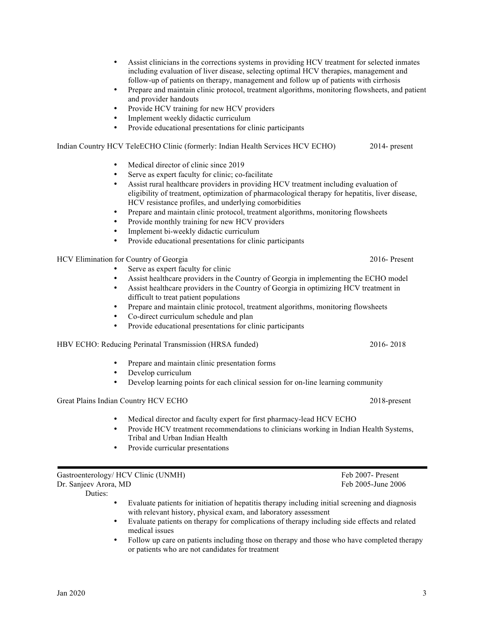- Assist clinicians in the corrections systems in providing HCV treatment for selected inmates including evaluation of liver disease, selecting optimal HCV therapies, management and follow-up of patients on therapy, management and follow up of patients with cirrhosis
- Prepare and maintain clinic protocol, treatment algorithms, monitoring flowsheets, and patient and provider handouts
- Provide HCV training for new HCV providers
- Implement weekly didactic curriculum
- Provide educational presentations for clinic participants

Indian Country HCV TeleECHO Clinic (formerly: Indian Health Services HCV ECHO) 2014- present

- Medical director of clinic since 2019
- Serve as expert faculty for clinic; co-facilitate
- Assist rural healthcare providers in providing HCV treatment including evaluation of eligibility of treatment, optimization of pharmacological therapy for hepatitis, liver disease, HCV resistance profiles, and underlying comorbidities
- Prepare and maintain clinic protocol, treatment algorithms, monitoring flowsheets
- Provide monthly training for new HCV providers
- Implement bi-weekly didactic curriculum
- Provide educational presentations for clinic participants

HCV Elimination for Country of Georgia 2016- Present

- Serve as expert faculty for clinic
- Assist healthcare providers in the Country of Georgia in implementing the ECHO model
- Assist healthcare providers in the Country of Georgia in optimizing HCV treatment in difficult to treat patient populations
- Prepare and maintain clinic protocol, treatment algorithms, monitoring flowsheets
- Co-direct curriculum schedule and plan
- Provide educational presentations for clinic participants

HBV ECHO: Reducing Perinatal Transmission (HRSA funded) 2016- 2018

- Prepare and maintain clinic presentation forms
- Develop curriculum
- Develop learning points for each clinical session for on-line learning community

Great Plains Indian Country HCV ECHO 2018-present

- Medical director and faculty expert for first pharmacy-lead HCV ECHO
- Provide HCV treatment recommendations to clinicians working in Indian Health Systems, Tribal and Urban Indian Health
- Provide curricular presentations

Gastroenterology/ HCV Clinic (UNMH) Feb 2007- Present Dr. Sanjeev Arora, MD Feb 2005-June 2006

Duties:

- Evaluate patients for initiation of hepatitis therapy including initial screening and diagnosis with relevant history, physical exam, and laboratory assessment
- Evaluate patients on therapy for complications of therapy including side effects and related medical issues
- Follow up care on patients including those on therapy and those who have completed therapy or patients who are not candidates for treatment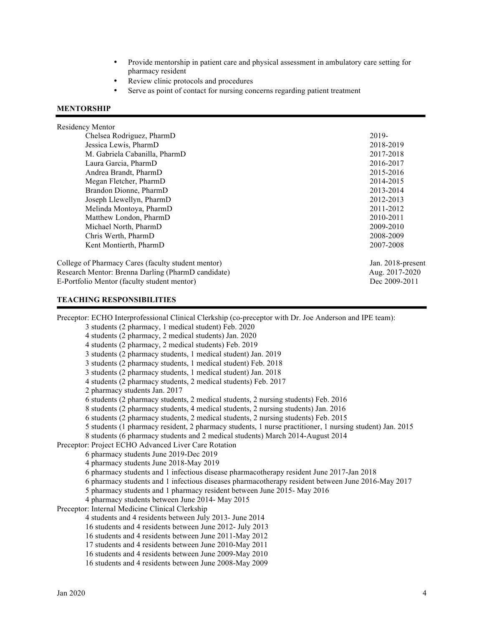- Provide mentorship in patient care and physical assessment in ambulatory care setting for pharmacy resident
- Review clinic protocols and procedures
- Serve as point of contact for nursing concerns regarding patient treatment

#### **MENTORSHIP**

#### Residency Mentor

| Chelsea Rodriguez, PharmD                          | 2019-             |
|----------------------------------------------------|-------------------|
| Jessica Lewis, PharmD                              | 2018-2019         |
| M. Gabriela Cabanilla, PharmD                      | 2017-2018         |
| Laura Garcia, PharmD                               | 2016-2017         |
| Andrea Brandt, PharmD                              | 2015-2016         |
| Megan Fletcher, PharmD                             | 2014-2015         |
| Brandon Dionne, PharmD                             | 2013-2014         |
| Joseph Llewellyn, PharmD                           | 2012-2013         |
| Melinda Montoya, PharmD                            | 2011-2012         |
| Matthew London, PharmD                             | 2010-2011         |
| Michael North, PharmD                              | 2009-2010         |
| Chris Werth, PharmD                                | 2008-2009         |
| Kent Montierth, PharmD                             | 2007-2008         |
| College of Pharmacy Cares (faculty student mentor) | Jan. 2018-present |
| Research Mentor: Brenna Darling (PharmD candidate) | Aug. 2017-2020    |

E-Portfolio Mentor (faculty student mentor) Dec 2009-2011

# **TEACHING RESPONSIBILITIES**

Preceptor: ECHO Interprofessional Clinical Clerkship (co-preceptor with Dr. Joe Anderson and IPE team): 3 students (2 pharmacy, 1 medical student) Feb. 2020 4 students (2 pharmacy, 2 medical students) Jan. 2020 4 students (2 pharmacy, 2 medical students) Feb. 2019 3 students (2 pharmacy students, 1 medical student) Jan. 2019 3 students (2 pharmacy students, 1 medical student) Feb. 2018 3 students (2 pharmacy students, 1 medical student) Jan. 2018 4 students (2 pharmacy students, 2 medical students) Feb. 2017 2 pharmacy students Jan. 2017 6 students (2 pharmacy students, 2 medical students, 2 nursing students) Feb. 2016 8 students (2 pharmacy students, 4 medical students, 2 nursing students) Jan. 2016 6 students (2 pharmacy students, 2 medical students, 2 nursing students) Feb. 2015 5 students (1 pharmacy resident, 2 pharmacy students, 1 nurse practitioner, 1 nursing student) Jan. 2015 8 students (6 pharmacy students and 2 medical students) March 2014-August 2014 Preceptor: Project ECHO Advanced Liver Care Rotation 6 pharmacy students June 2019-Dec 2019 4 pharmacy students June 2018-May 2019 6 pharmacy students and 1 infectious disease pharmacotherapy resident June 2017-Jan 2018 6 pharmacy students and 1 infectious diseases pharmacotherapy resident between June 2016-May 2017 5 pharmacy students and 1 pharmacy resident between June 2015- May 2016 4 pharmacy students between June 2014- May 2015 Preceptor: Internal Medicine Clinical Clerkship 4 students and 4 residents between July 2013- June 2014 16 students and 4 residents between June 2012- July 2013 16 students and 4 residents between June 2011-May 2012 17 students and 4 residents between June 2010-May 2011 16 students and 4 residents between June 2009-May 2010 16 students and 4 residents between June 2008-May 2009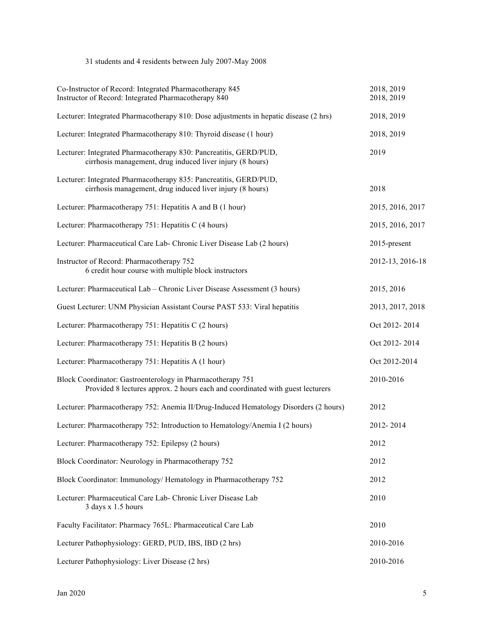# 31 students and 4 residents between July 2007-May 2008

| Co-Instructor of Record: Integrated Pharmacotherapy 845<br>Instructor of Record: Integrated Pharmacotherapy 840                             | 2018, 2019<br>2018, 2019 |
|---------------------------------------------------------------------------------------------------------------------------------------------|--------------------------|
| Lecturer: Integrated Pharmacotherapy 810: Dose adjustments in hepatic disease (2 hrs)                                                       | 2018, 2019               |
| Lecturer: Integrated Pharmacotherapy 810: Thyroid disease (1 hour)                                                                          | 2018, 2019               |
| Lecturer: Integrated Pharmacotherapy 830: Pancreatitis, GERD/PUD,<br>cirrhosis management, drug induced liver injury (8 hours)              | 2019                     |
| Lecturer: Integrated Pharmacotherapy 835: Pancreatitis, GERD/PUD,<br>cirrhosis management, drug induced liver injury (8 hours)              | 2018                     |
| Lecturer: Pharmacotherapy 751: Hepatitis A and B (1 hour)                                                                                   | 2015, 2016, 2017         |
| Lecturer: Pharmacotherapy 751: Hepatitis C (4 hours)                                                                                        | 2015, 2016, 2017         |
| Lecturer: Pharmaceutical Care Lab- Chronic Liver Disease Lab (2 hours)                                                                      | 2015-present             |
| Instructor of Record: Pharmacotherapy 752<br>6 credit hour course with multiple block instructors                                           | 2012-13, 2016-18         |
| Lecturer: Pharmaceutical Lab - Chronic Liver Disease Assessment (3 hours)                                                                   | 2015, 2016               |
| Guest Lecturer: UNM Physician Assistant Course PAST 533: Viral hepatitis                                                                    | 2013, 2017, 2018         |
| Lecturer: Pharmacotherapy 751: Hepatitis C (2 hours)                                                                                        | Oct 2012-2014            |
| Lecturer: Pharmacotherapy 751: Hepatitis B (2 hours)                                                                                        | Oct 2012-2014            |
| Lecturer: Pharmacotherapy 751: Hepatitis A (1 hour)                                                                                         | Oct 2012-2014            |
| Block Coordinator: Gastroenterology in Pharmacotherapy 751<br>Provided 8 lectures approx. 2 hours each and coordinated with guest lecturers | 2010-2016                |
| Lecturer: Pharmacotherapy 752: Anemia II/Drug-Induced Hematology Disorders (2 hours)                                                        | 2012                     |
| Lecturer: Pharmacotherapy 752: Introduction to Hematology/Anemia I (2 hours)                                                                | 2012-2014                |
| Lecturer: Pharmacotherapy 752: Epilepsy (2 hours)                                                                                           | 2012                     |
| Block Coordinator: Neurology in Pharmacotherapy 752                                                                                         | 2012                     |
| Block Coordinator: Immunology/ Hematology in Pharmacotherapy 752                                                                            | 2012                     |
| Lecturer: Pharmaceutical Care Lab- Chronic Liver Disease Lab<br>3 days x 1.5 hours                                                          | 2010                     |
| Faculty Facilitator: Pharmacy 765L: Pharmaceutical Care Lab                                                                                 | 2010                     |
| Lecturer Pathophysiology: GERD, PUD, IBS, IBD (2 hrs)                                                                                       | 2010-2016                |
| Lecturer Pathophysiology: Liver Disease (2 hrs)                                                                                             | 2010-2016                |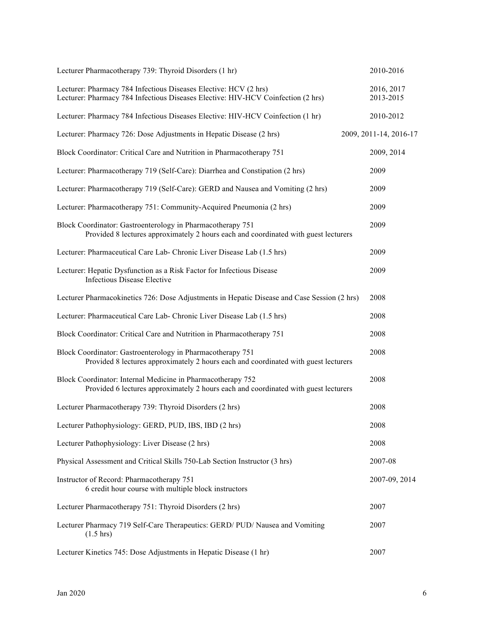| Lecturer Pharmacotherapy 739: Thyroid Disorders (1 hr)                                                                                               | 2010-2016               |
|------------------------------------------------------------------------------------------------------------------------------------------------------|-------------------------|
| Lecturer: Pharmacy 784 Infectious Diseases Elective: HCV (2 hrs)<br>Lecturer: Pharmacy 784 Infectious Diseases Elective: HIV-HCV Coinfection (2 hrs) | 2016, 2017<br>2013-2015 |
| Lecturer: Pharmacy 784 Infectious Diseases Elective: HIV-HCV Coinfection (1 hr)                                                                      | 2010-2012               |
| Lecturer: Pharmacy 726: Dose Adjustments in Hepatic Disease (2 hrs)                                                                                  | 2009, 2011-14, 2016-17  |
| Block Coordinator: Critical Care and Nutrition in Pharmacotherapy 751                                                                                | 2009, 2014              |
| Lecturer: Pharmacotherapy 719 (Self-Care): Diarrhea and Constipation (2 hrs)                                                                         | 2009                    |
| Lecturer: Pharmacotherapy 719 (Self-Care): GERD and Nausea and Vomiting (2 hrs)                                                                      | 2009                    |
| Lecturer: Pharmacotherapy 751: Community-Acquired Pneumonia (2 hrs)                                                                                  | 2009                    |
| Block Coordinator: Gastroenterology in Pharmacotherapy 751<br>Provided 8 lectures approximately 2 hours each and coordinated with guest lecturers    | 2009                    |
| Lecturer: Pharmaceutical Care Lab- Chronic Liver Disease Lab (1.5 hrs)                                                                               | 2009                    |
| Lecturer: Hepatic Dysfunction as a Risk Factor for Infectious Disease<br><b>Infectious Disease Elective</b>                                          | 2009                    |
| Lecturer Pharmacokinetics 726: Dose Adjustments in Hepatic Disease and Case Session (2 hrs)                                                          | 2008                    |
| Lecturer: Pharmaceutical Care Lab- Chronic Liver Disease Lab (1.5 hrs)                                                                               | 2008                    |
| Block Coordinator: Critical Care and Nutrition in Pharmacotherapy 751                                                                                | 2008                    |
| Block Coordinator: Gastroenterology in Pharmacotherapy 751<br>Provided 8 lectures approximately 2 hours each and coordinated with guest lecturers    | 2008                    |
| Block Coordinator: Internal Medicine in Pharmacotherapy 752<br>Provided 6 lectures approximately 2 hours each and coordinated with guest lecturers   | 2008                    |
| Lecturer Pharmacotherapy 739: Thyroid Disorders (2 hrs)                                                                                              | 2008                    |
| Lecturer Pathophysiology: GERD, PUD, IBS, IBD (2 hrs)                                                                                                | 2008                    |
| Lecturer Pathophysiology: Liver Disease (2 hrs)                                                                                                      | 2008                    |
| Physical Assessment and Critical Skills 750-Lab Section Instructor (3 hrs)                                                                           | 2007-08                 |
| Instructor of Record: Pharmacotherapy 751<br>6 credit hour course with multiple block instructors                                                    | 2007-09, 2014           |
| Lecturer Pharmacotherapy 751: Thyroid Disorders (2 hrs)                                                                                              | 2007                    |
| Lecturer Pharmacy 719 Self-Care Therapeutics: GERD/ PUD/ Nausea and Vomiting<br>$(1.5 \text{ hrs})$                                                  | 2007                    |
| Lecturer Kinetics 745: Dose Adjustments in Hepatic Disease (1 hr)                                                                                    | 2007                    |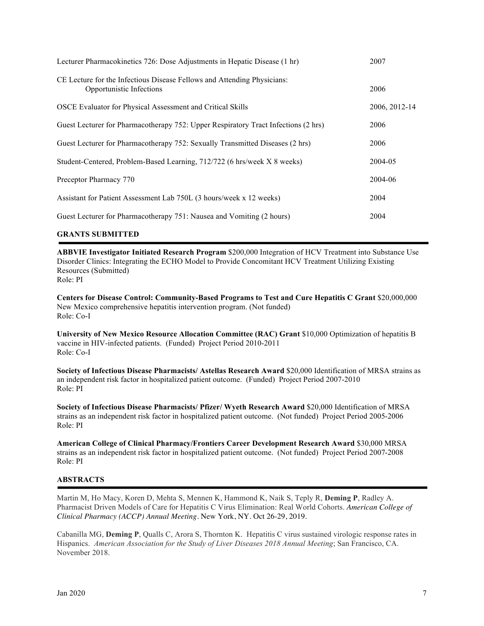| Lecturer Pharmacokinetics 726: Dose Adjustments in Hepatic Disease (1 hr)                           | 2007          |
|-----------------------------------------------------------------------------------------------------|---------------|
| CE Lecture for the Infectious Disease Fellows and Attending Physicians:<br>Opportunistic Infections | 2006          |
| OSCE Evaluator for Physical Assessment and Critical Skills                                          | 2006, 2012-14 |
| Guest Lecturer for Pharmacotherapy 752: Upper Respiratory Tract Infections (2 hrs)                  | 2006          |
| Guest Lecturer for Pharmacotherapy 752: Sexually Transmitted Diseases (2 hrs)                       | 2006          |
| Student-Centered, Problem-Based Learning, 712/722 (6 hrs/week X 8 weeks)                            | 2004-05       |
| Preceptor Pharmacy 770                                                                              | 2004-06       |
| Assistant for Patient Assessment Lab 750L (3 hours/week x 12 weeks)                                 | 2004          |
| Guest Lecturer for Pharmacotherapy 751: Nausea and Vomiting (2 hours)                               | 2004          |

## **GRANTS SUBMITTED**

**ABBVIE Investigator Initiated Research Program** \$200,000 Integration of HCV Treatment into Substance Use Disorder Clinics: Integrating the ECHO Model to Provide Concomitant HCV Treatment Utilizing Existing Resources (Submitted) Role: PI

**Centers for Disease Control: Community-Based Programs to Test and Cure Hepatitis C Grant** \$20,000,000 New Mexico comprehensive hepatitis intervention program. (Not funded) Role: Co-I

**University of New Mexico Resource Allocation Committee (RAC) Grant** \$10,000 Optimization of hepatitis B vaccine in HIV-infected patients. (Funded) Project Period 2010-2011 Role: Co-I

**Society of Infectious Disease Pharmacists/ Astellas Research Award** \$20,000 Identification of MRSA strains as an independent risk factor in hospitalized patient outcome. (Funded) Project Period 2007-2010 Role: PI

**Society of Infectious Disease Pharmacists/ Pfizer/ Wyeth Research Award** \$20,000 Identification of MRSA strains as an independent risk factor in hospitalized patient outcome. (Not funded) Project Period 2005-2006 Role: PI

**American College of Clinical Pharmacy/Frontiers Career Development Research Award** \$30,000 MRSA strains as an independent risk factor in hospitalized patient outcome. (Not funded) Project Period 2007-2008 Role: PI

#### **ABSTRACTS**

Martin M, Ho Macy, Koren D, Mehta S, Mennen K, Hammond K, Naik S, Teply R, **Deming P**, Radley A. Pharmacist Driven Models of Care for Hepatitis C Virus Elimination: Real World Cohorts. *American College of Clinical Pharmacy (ACCP) Annual Meeting*. New York, NY. Oct 26-29, 2019.

Cabanilla MG, **Deming P**, Qualls C, Arora S, Thornton K. Hepatitis C virus sustained virologic response rates in Hispanics. *American Association for the Study of Liver Diseases 2018 Annual Meeting*; San Francisco, CA. November 2018.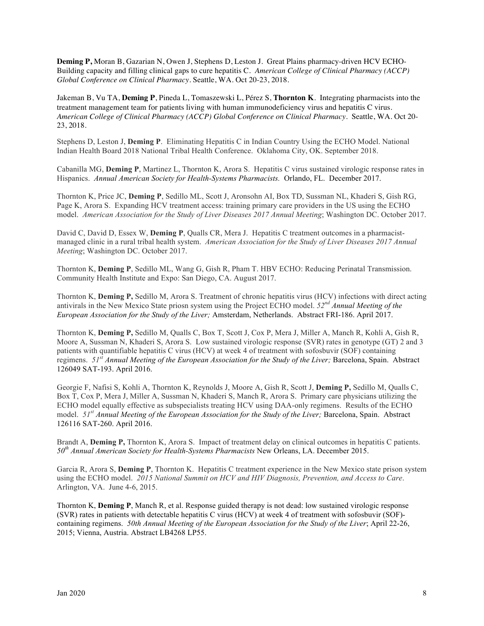**Deming P,** Moran B, Gazarian N, Owen J, Stephens D, Leston J. Great Plains pharmacy-driven HCV ECHO-Building capacity and filling clinical gaps to cure hepatitis C. *American College of Clinical Pharmacy (ACCP) Global Conference on Clinical Pharmacy*. Seattle, WA. Oct 20-23, 2018.

Jakeman B, Vu TA, **Deming P**, Pineda L, Tomaszewski L, Pérez S, **Thornton K**. Integrating pharmacists into the treatment management team for patients living with human immunodeficiency virus and hepatitis C virus. *American College of Clinical Pharmacy (ACCP) Global Conference on Clinical Pharmacy*. Seattle, WA. Oct 20- 23, 2018.

Stephens D, Leston J, **Deming P**. Eliminating Hepatitis C in Indian Country Using the ECHO Model. National Indian Health Board 2018 National Tribal Health Conference. Oklahoma City, OK. September 2018.

Cabanilla MG, **Deming P**, Martinez L, Thornton K, Arora S. Hepatitis C virus sustained virologic response rates in Hispanics. *Annual American Society for Health-Systems Pharmacists.* Orlando, FL. December 2017.

Thornton K, Price JC, **Deming P**, Sedillo ML, Scott J, Aronsohn AI, Box TD, Sussman NL, Khaderi S, Gish RG, Page K, Arora S. Expanding HCV treatment access: training primary care providers in the US using the ECHO model. *American Association for the Study of Liver Diseases 2017 Annual Meeting*; Washington DC. October 2017.

David C, David D, Essex W, **Deming P**, Qualls CR, Mera J. Hepatitis C treatment outcomes in a pharmacistmanaged clinic in a rural tribal health system. *American Association for the Study of Liver Diseases 2017 Annual Meeting*; Washington DC. October 2017.

Thornton K, **Deming P**, Sedillo ML, Wang G, Gish R, Pham T. HBV ECHO: Reducing Perinatal Transmission. Community Health Institute and Expo: San Diego, CA. August 2017.

Thornton K, **Deming P,** Sedillo M, Arora S. Treatment of chronic hepatitis virus (HCV) infections with direct acting antivirals in the New Mexico State priosn system using the Project ECHO model. *52nd Annual Meeting of the European Association for the Study of the Liver;* Amsterdam, Netherlands. Abstract FRI-186. April 2017.

Thornton K, **Deming P,** Sedillo M, Qualls C, Box T, Scott J, Cox P, Mera J, Miller A, Manch R, Kohli A, Gish R, Moore A, Sussman N, Khaderi S, Arora S. Low sustained virologic response (SVR) rates in genotype (GT) 2 and 3 patients with quantifiable hepatitis C virus (HCV) at week 4 of treatment with sofosbuvir (SOF) containing regimens. *51st Annual Meeting of the European Association for the Study of the Liver;* Barcelona, Spain. Abstract 126049 SAT-193. April 2016.

Georgie F, Nafisi S, Kohli A, Thornton K, Reynolds J, Moore A, Gish R, Scott J, **Deming P,** Sedillo M, Qualls C, Box T, Cox P, Mera J, Miller A, Sussman N, Khaderi S, Manch R, Arora S. Primary care physicians utilizing the ECHO model equally effective as subspecialists treating HCV using DAA-only regimens. Results of the ECHO model. *51st Annual Meeting of the European Association for the Study of the Liver;* Barcelona, Spain. Abstract 126116 SAT-260. April 2016.

Brandt A, **Deming P,** Thornton K, Arora S. Impact of treatment delay on clinical outcomes in hepatitis C patients. *50th Annual American Society for Health-Systems Pharmacists* New Orleans, LA. December 2015.

Garcia R, Arora S, **Deming P**, Thornton K. Hepatitis C treatment experience in the New Mexico state prison system using the ECHO model. *2015 National Summit on HCV and HIV Diagnosis, Prevention, and Access to Care*. Arlington, VA. June 4-6, 2015.

Thornton K, **Deming P**, Manch R, et al. Response guided therapy is not dead: low sustained virologic response (SVR) rates in patients with detectable hepatitis C virus (HCV) at week 4 of treatment with sofosbuvir (SOF) containing regimens. *50th Annual Meeting of the European Association for the Study of the Liver*; April 22-26, 2015; Vienna, Austria. Abstract LB4268 LP55.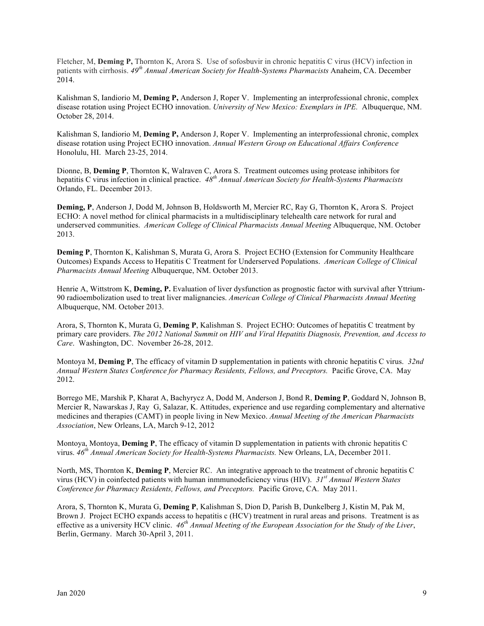Fletcher, M, **Deming P,** Thornton K, Arora S. Use of sofosbuvir in chronic hepatitis C virus (HCV) infection in patients with cirrhosis. *49th Annual American Society for Health-Systems Pharmacists* Anaheim, CA. December 2014.

Kalishman S, Iandiorio M, **Deming P,** Anderson J, Roper V. Implementing an interprofessional chronic, complex disease rotation using Project ECHO innovation. *University of New Mexico: Exemplars in IPE.* Albuquerque, NM. October 28, 2014.

Kalishman S, Iandiorio M, **Deming P,** Anderson J, Roper V. Implementing an interprofessional chronic, complex disease rotation using Project ECHO innovation. *Annual Western Group on Educational Affairs Conference* Honolulu, HI. March 23-25, 2014.

Dionne, B, **Deming P**, Thornton K, Walraven C, Arora S. Treatment outcomes using protease inhibitors for hepatitis C virus infection in clinical practice. *48th Annual American Society for Health-Systems Pharmacists* Orlando, FL. December 2013.

**Deming, P**, Anderson J, Dodd M, Johnson B, Holdsworth M, Mercier RC, Ray G, Thornton K, Arora S. Project ECHO: A novel method for clinical pharmacists in a multidisciplinary telehealth care network for rural and underserved communities. *American College of Clinical Pharmacists Annual Meeting* Albuquerque, NM. October 2013.

**Deming P**, Thornton K, Kalishman S, Murata G, Arora S. Project ECHO (Extension for Community Healthcare Outcomes) Expands Access to Hepatitis C Treatment for Underserved Populations. *American College of Clinical Pharmacists Annual Meeting* Albuquerque, NM. October 2013.

Henrie A, Wittstrom K, **Deming, P.** Evaluation of liver dysfunction as prognostic factor with survival after Yttrium-90 radioembolization used to treat liver malignancies. *American College of Clinical Pharmacists Annual Meeting* Albuquerque, NM. October 2013.

Arora, S, Thornton K, Murata G, **Deming P**, Kalishman S. Project ECHO: Outcomes of hepatitis C treatment by primary care providers. *The 2012 National Summit on HIV and Viral Hepatitis Diagnosis, Prevention, and Access to Care*. Washington, DC. November 26-28, 2012.

Montoya M, **Deming P**, The efficacy of vitamin D supplementation in patients with chronic hepatitis C virus. *32nd Annual Western States Conference for Pharmacy Residents, Fellows, and Preceptors.* Pacific Grove, CA. May 2012.

Borrego ME, Marshik P, Kharat A, Bachyrycz A, Dodd M, Anderson J, Bond R, **Deming P**, Goddard N, Johnson B, Mercier R, Nawarskas J, Ray G, Salazar, K. Attitudes, experience and use regarding complementary and alternative medicines and therapies (CAMT) in people living in New Mexico. *Annual Meeting of the American Pharmacists Association*, New Orleans, LA, March 9-12, 2012

Montoya, Montoya, **Deming P**, The efficacy of vitamin D supplementation in patients with chronic hepatitis C virus. *46th Annual American Society for Health-Systems Pharmacists.* New Orleans, LA, December 2011.

North, MS, Thornton K, **Deming P**, Mercier RC. An integrative approach to the treatment of chronic hepatitis C virus (HCV) in coinfected patients with human inmmunodeficiency virus (HIV). *31st Annual Western States Conference for Pharmacy Residents, Fellows, and Preceptors.* Pacific Grove, CA. May 2011.

Arora, S, Thornton K, Murata G, **Deming P**, Kalishman S, Dion D, Parish B, Dunkelberg J, Kistin M, Pak M, Brown J. Project ECHO expands access to hepatitis c (HCV) treatment in rural areas and prisons. Treatment is as effective as a university HCV clinic. *46th Annual Meeting of the European Association for the Study of the Liver*, Berlin, Germany. March 30-April 3, 2011.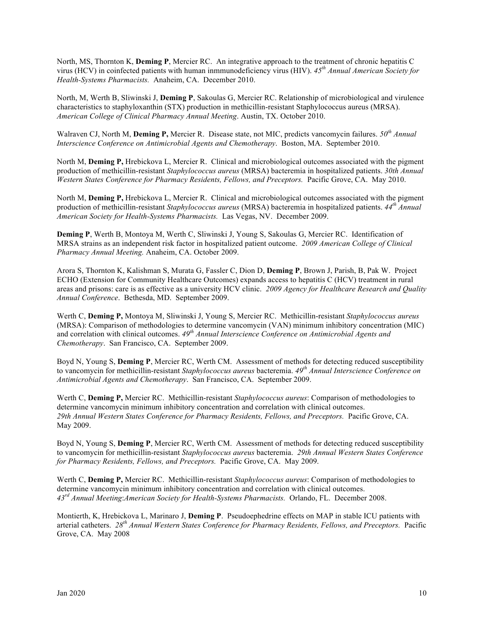North, MS, Thornton K, **Deming P**, Mercier RC. An integrative approach to the treatment of chronic hepatitis C virus (HCV) in coinfected patients with human inmmunodeficiency virus (HIV). *45th Annual American Society for Health-Systems Pharmacists.* Anaheim, CA. December 2010.

North, M, Werth B, Sliwinski J, **Deming P**, Sakoulas G, Mercier RC. Relationship of microbiological and virulence characteristics to staphyloxanthin (STX) production in methicillin-resistant Staphylococcus aureus (MRSA). *American College of Clinical Pharmacy Annual Meeting*. Austin, TX. October 2010.

Walraven CJ, North M, **Deming P,** Mercier R. Disease state, not MIC, predicts vancomycin failures. *50th Annual Interscience Conference on Antimicrobial Agents and Chemotherapy*. Boston, MA. September 2010.

North M, **Deming P,** Hrebickova L, Mercier R. Clinical and microbiological outcomes associated with the pigment production of methicillin-resistant *Staphylococcus aureus* (MRSA) bacteremia in hospitalized patients. *30th Annual Western States Conference for Pharmacy Residents, Fellows, and Preceptors.* Pacific Grove, CA. May 2010.

North M, **Deming P,** Hrebickova L, Mercier R. Clinical and microbiological outcomes associated with the pigment production of methicillin-resistant *Staphylococcus aureus* (MRSA) bacteremia in hospitalized patients. *44th Annual American Society for Health-Systems Pharmacists.* Las Vegas, NV. December 2009.

**Deming P**, Werth B, Montoya M, Werth C, Sliwinski J, Young S, Sakoulas G, Mercier RC. Identification of MRSA strains as an independent risk factor in hospitalized patient outcome. *2009 American College of Clinical Pharmacy Annual Meeting.* Anaheim, CA. October 2009.

Arora S, Thornton K, Kalishman S, Murata G, Fassler C, Dion D, **Deming P**, Brown J, Parish, B, Pak W. Project ECHO (Extension for Community Healthcare Outcomes) expands access to hepatitis C (HCV) treatment in rural areas and prisons: care is as effective as a university HCV clinic. *2009 Agency for Healthcare Research and Quality Annual Conference*. Bethesda, MD. September 2009.

Werth C, **Deming P,** Montoya M, Sliwinski J, Young S, Mercier RC. Methicillin-resistant *Staphylococcus aureus*  (MRSA): Comparison of methodologies to determine vancomycin (VAN) minimum inhibitory concentration (MIC) and correlation with clinical outcomes.  $49^{th}$  *Annual Interscience Conference on Antimicrobial Agents and Chemotherapy*. San Francisco, CA. September 2009.

Boyd N, Young S, **Deming P**, Mercier RC, Werth CM. Assessment of methods for detecting reduced susceptibility to vancomycin for methicillin-resistant *Staphylococcus aureus* bacteremia. *49th Annual Interscience Conference on Antimicrobial Agents and Chemotherapy*. San Francisco, CA. September 2009.

Werth C, **Deming P,** Mercier RC. Methicillin-resistant *Staphylococcus aureus*: Comparison of methodologies to determine vancomycin minimum inhibitory concentration and correlation with clinical outcomes. *29th Annual Western States Conference for Pharmacy Residents, Fellows, and Preceptors.* Pacific Grove, CA. May 2009.

Boyd N, Young S, **Deming P**, Mercier RC, Werth CM. Assessment of methods for detecting reduced susceptibility to vancomycin for methicillin-resistant *Staphylococcus aureus* bacteremia. *29th Annual Western States Conference for Pharmacy Residents, Fellows, and Preceptors.* Pacific Grove, CA. May 2009.

Werth C, **Deming P,** Mercier RC. Methicillin-resistant *Staphylococcus aureus*: Comparison of methodologies to determine vancomycin minimum inhibitory concentration and correlation with clinical outcomes. *43rd Annual Meeting*:*American Society for Health-Systems Pharmacists.* Orlando, FL. December 2008.

Montierth, K, Hrebickova L, Marinaro J, **Deming P**. Pseudoephedrine effects on MAP in stable ICU patients with arterial catheters. *28th Annual Western States Conference for Pharmacy Residents, Fellows, and Preceptors.* Pacific Grove, CA. May 2008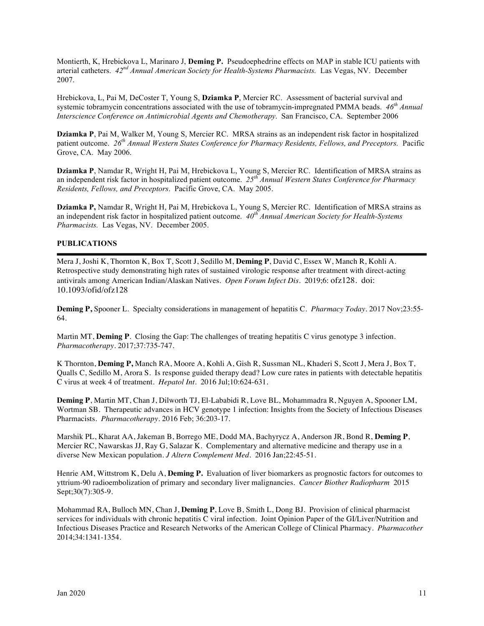Montierth, K, Hrebickova L, Marinaro J, **Deming P.** Pseudoephedrine effects on MAP in stable ICU patients with arterial catheters. *42nd Annual American Society for Health-Systems Pharmacists.* Las Vegas, NV. December 2007.

Hrebickova, L, Pai M, DeCoster T, Young S, **Dziamka P**, Mercier RC. Assessment of bacterial survival and systemic tobramycin concentrations associated with the use of tobramycin-impregnated PMMA beads. *46th Annual Interscience Conference on Antimicrobial Agents and Chemotherapy*. San Francisco, CA. September 2006

**Dziamka P**, Pai M, Walker M, Young S, Mercier RC. MRSA strains as an independent risk factor in hospitalized patient outcome. *26th Annual Western States Conference for Pharmacy Residents, Fellows, and Preceptors.* Pacific Grove, CA. May 2006.

**Dziamka P**, Namdar R, Wright H, Pai M, Hrebickova L, Young S, Mercier RC. Identification of MRSA strains as an independent risk factor in hospitalized patient outcome. *25th Annual Western States Conference for Pharmacy Residents, Fellows, and Preceptors*. Pacific Grove, CA. May 2005.

**Dziamka P,** Namdar R, Wright H, Pai M, Hrebickova L, Young S, Mercier RC. Identification of MRSA strains as an independent risk factor in hospitalized patient outcome. *40th Annual American Society for Health-Systems Pharmacists.* Las Vegas, NV. December 2005.

## **PUBLICATIONS**

Mera J, Joshi K, Thornton K, Box T, Scott J, Sedillo M, **Deming P**, David C, Essex W, Manch R, Kohli A. Retrospective study demonstrating high rates of sustained virologic response after treatment with direct-acting antivirals among American Indian/Alaskan Natives. *Open Forum Infect Dis*. 2019;6: ofz128. doi: 10.1093/ofid/ofz128

**Deming P,** Spooner L. Specialty considerations in management of hepatitis C. *Pharmacy Today*. 2017 Nov;23:55- 64.

Martin MT, **Deming P**. Closing the Gap: The challenges of treating hepatitis C virus genotype 3 infection. *Pharmacotherapy*. 2017;37:735-747.

K Thornton, **Deming P,** Manch RA, Moore A, Kohli A, Gish R, Sussman NL, Khaderi S, Scott J, Mera J, Box T, Qualls C, Sedillo M, Arora S. Is response guided therapy dead? Low cure rates in patients with detectable hepatitis C virus at week 4 of treatment. *Hepatol Int*. 2016 Jul;10:624-631.

**Deming P**, Martin MT, Chan J, Dilworth TJ, El-Lababidi R, Love BL, Mohammadra R, Nguyen A, Spooner LM, Wortman SB. Therapeutic advances in HCV genotype 1 infection: Insights from the Society of Infectious Diseases Pharmacists. *Pharmacotherapy*. 2016 Feb; 36:203-17.

Marshik PL, Kharat AA, Jakeman B, Borrego ME, Dodd MA, Bachyrycz A, Anderson JR, Bond R, **Deming P**, Mercier RC, Nawarskas JJ, Ray G, Salazar K. Complementary and alternative medicine and therapy use in a diverse New Mexican population. *J Altern Complement Med*. 2016 Jan;22:45-51.

Henrie AM, Wittstrom K, Delu A, **Deming P.** Evaluation of liver biomarkers as prognostic factors for outcomes to yttrium-90 radioembolization of primary and secondary liver malignancies. *Cancer Biother Radiopharm* 2015 Sept;30(7):305-9.

Mohammad RA, Bulloch MN, Chan J, **Deming P**, Love B, Smith L, Dong BJ. Provision of clinical pharmacist services for individuals with chronic hepatitis C viral infection. Joint Opinion Paper of the GI/Liver/Nutrition and Infectious Diseases Practice and Research Networks of the American College of Clinical Pharmacy. *Pharmacother* 2014;34:1341-1354.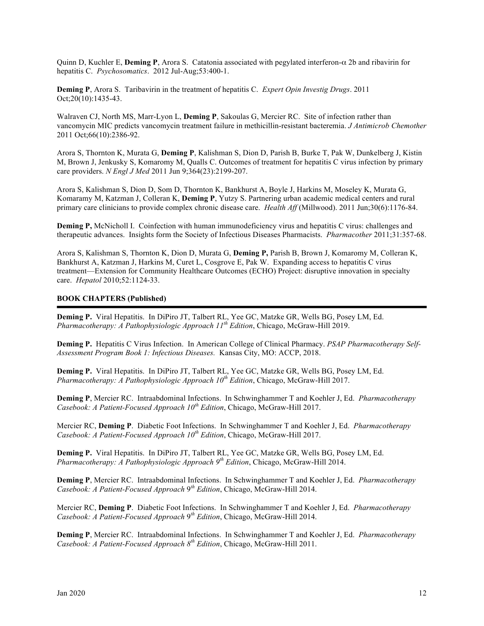Quinn D, Kuchler E, **Deming P**, Arora S. Catatonia associated with pegylated interferon-α 2b and ribavirin for hepatitis C. *Psychosomatics*. 2012 Jul-Aug;53:400-1.

**Deming P**, Arora S. Taribavirin in the treatment of hepatitis C. *Expert Opin Investig Drugs*. 2011 Oct;20(10):1435-43.

Walraven CJ, North MS, Marr-Lyon L, **Deming P**, Sakoulas G, Mercier RC. Site of infection rather than vancomycin MIC predicts vancomycin treatment failure in methicillin-resistant bacteremia. *J Antimicrob Chemother* 2011 Oct;66(10):2386-92.

Arora S, Thornton K, Murata G, **Deming P**, Kalishman S, Dion D, Parish B, Burke T, Pak W, Dunkelberg J, Kistin M, Brown J, Jenkusky S, Komaromy M, Qualls C. Outcomes of treatment for hepatitis C virus infection by primary care providers. *N Engl J Med* 2011 Jun 9;364(23):2199-207.

Arora S, Kalishman S, Dion D, Som D, Thornton K, Bankhurst A, Boyle J, Harkins M, Moseley K, Murata G, Komaramy M, Katzman J, Colleran K, **Deming P**, Yutzy S. Partnering urban academic medical centers and rural primary care clinicians to provide complex chronic disease care. *Health Aff* (Millwood). 2011 Jun;30(6):1176-84.

**Deming P,** McNicholl I. Coinfection with human immunodeficiency virus and hepatitis C virus: challenges and therapeutic advances. Insights form the Society of Infectious Diseases Pharmacists. *Pharmacother* 2011;31:357-68.

Arora S, Kalishman S, Thornton K, Dion D, Murata G, **Deming P,** Parish B, Brown J, Komaromy M, Colleran K, Bankhurst A, Katzman J, Harkins M, Curet L, Cosgrove E, Pak W. Expanding access to hepatitis C virus treatment—Extension for Community Healthcare Outcomes (ECHO) Project: disruptive innovation in specialty care. *Hepatol* 2010;52:1124-33.

#### **BOOK CHAPTERS (Published)**

**Deming P.** Viral Hepatitis. In DiPiro JT, Talbert RL, Yee GC, Matzke GR, Wells BG, Posey LM, Ed. *Pharmacotherapy: A Pathophysiologic Approach 11th Edition*, Chicago, McGraw-Hill 2019.

**Deming P.** Hepatitis C Virus Infection. In American College of Clinical Pharmacy. *PSAP Pharmacotherapy Self-Assessment Program Book 1: Infectious Diseases.* Kansas City, MO: ACCP, 2018.

**Deming P.** Viral Hepatitis. In DiPiro JT, Talbert RL, Yee GC, Matzke GR, Wells BG, Posey LM, Ed. *Pharmacotherapy: A Pathophysiologic Approach 10th Edition*, Chicago, McGraw-Hill 2017.

**Deming P**, Mercier RC. Intraabdominal Infections. In Schwinghammer T and Koehler J, Ed. *Pharmacotherapy Casebook: A Patient-Focused Approach 10th Edition*, Chicago, McGraw-Hill 2017.

Mercier RC, **Deming P**. Diabetic Foot Infections. In Schwinghammer T and Koehler J, Ed. *Pharmacotherapy Casebook: A Patient-Focused Approach 10th Edition*, Chicago, McGraw-Hill 2017.

**Deming P.** Viral Hepatitis. In DiPiro JT, Talbert RL, Yee GC, Matzke GR, Wells BG, Posey LM, Ed. *Pharmacotherapy: A Pathophysiologic Approach 9th Edition*, Chicago, McGraw-Hill 2014.

**Deming P**, Mercier RC. Intraabdominal Infections. In Schwinghammer T and Koehler J, Ed. *Pharmacotherapy Casebook: A Patient-Focused Approach* 9*th Edition*, Chicago, McGraw-Hill 2014.

Mercier RC, **Deming P**. Diabetic Foot Infections. In Schwinghammer T and Koehler J, Ed. *Pharmacotherapy Casebook: A Patient-Focused Approach* 9*th Edition*, Chicago, McGraw-Hill 2014.

**Deming P**, Mercier RC. Intraabdominal Infections. In Schwinghammer T and Koehler J, Ed. *Pharmacotherapy Casebook: A Patient-Focused Approach 8th Edition*, Chicago, McGraw-Hill 2011.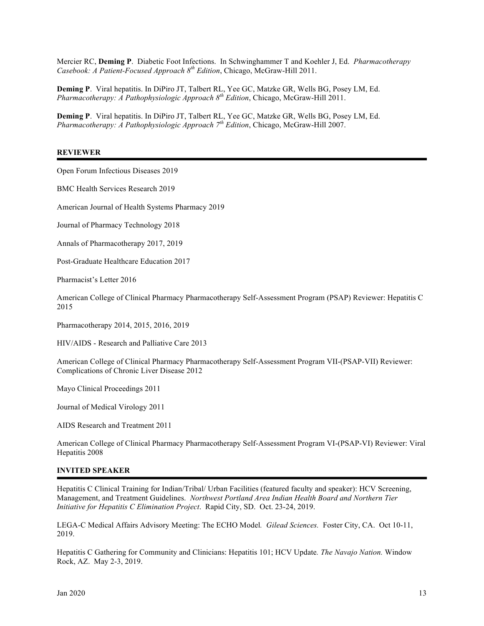Mercier RC, **Deming P**. Diabetic Foot Infections. In Schwinghammer T and Koehler J, Ed. *Pharmacotherapy Casebook: A Patient-Focused Approach 8th Edition*, Chicago, McGraw-Hill 2011.

**Deming P**. Viral hepatitis. In DiPiro JT, Talbert RL, Yee GC, Matzke GR, Wells BG, Posey LM, Ed. *Pharmacotherapy: A Pathophysiologic Approach 8th Edition*, Chicago, McGraw-Hill 2011.

**Deming P**. Viral hepatitis. In DiPiro JT, Talbert RL, Yee GC, Matzke GR, Wells BG, Posey LM, Ed. *Pharmacotherapy: A Pathophysiologic Approach 7th Edition*, Chicago, McGraw-Hill 2007.

#### **REVIEWER**

Open Forum Infectious Diseases 2019

BMC Health Services Research 2019

American Journal of Health Systems Pharmacy 2019

Journal of Pharmacy Technology 2018

Annals of Pharmacotherapy 2017, 2019

Post-Graduate Healthcare Education 2017

Pharmacist's Letter 2016

American College of Clinical Pharmacy Pharmacotherapy Self-Assessment Program (PSAP) Reviewer: Hepatitis C 2015

Pharmacotherapy 2014, 2015, 2016, 2019

HIV/AIDS - Research and Palliative Care 2013

American College of Clinical Pharmacy Pharmacotherapy Self-Assessment Program VII-(PSAP-VII) Reviewer: Complications of Chronic Liver Disease 2012

Mayo Clinical Proceedings 2011

Journal of Medical Virology 2011

AIDS Research and Treatment 2011

American College of Clinical Pharmacy Pharmacotherapy Self-Assessment Program VI-(PSAP-VI) Reviewer: Viral Hepatitis 2008

#### **INVITED SPEAKER**

Hepatitis C Clinical Training for Indian/Tribal/ Urban Facilities (featured faculty and speaker): HCV Screening, Management, and Treatment Guidelines. *Northwest Portland Area Indian Health Board and Northern Tier Initiative for Hepatitis C Elimination Project*. Rapid City, SD. Oct. 23-24, 2019.

LEGA-C Medical Affairs Advisory Meeting: The ECHO Model*. Gilead Sciences.* Foster City, CA. Oct 10-11, 2019.

Hepatitis C Gathering for Community and Clinicians: Hepatitis 101; HCV Update*. The Navajo Nation.* Window Rock, AZ. May 2-3, 2019.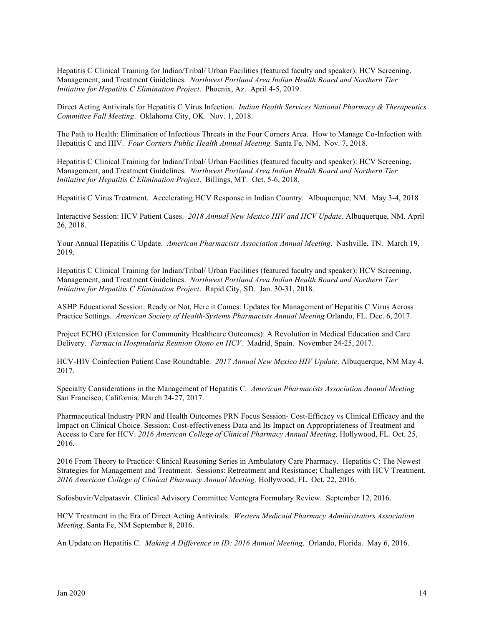Hepatitis C Clinical Training for Indian/Tribal/ Urban Facilities (featured faculty and speaker): HCV Screening, Management, and Treatment Guidelines. *Northwest Portland Area Indian Health Board and Northern Tier Initiative for Hepatitis C Elimination Project*. Phoenix, Az. April 4-5, 2019.

Direct Acting Antivirals for Hepatitis C Virus Infection. *Indian Health Services National Pharmacy & Therapeutics Committee Fall Meeting*. Oklahoma City, OK. Nov. 1, 2018.

The Path to Health: Elimination of Infectious Threats in the Four Corners Area. How to Manage Co-Infection with Hepatitis C and HIV. *Four Corners Public Health Annual Meeting.* Santa Fe, NM. Nov. 7, 2018.

Hepatitis C Clinical Training for Indian/Tribal/ Urban Facilities (featured faculty and speaker): HCV Screening, Management, and Treatment Guidelines. *Northwest Portland Area Indian Health Board and Northern Tier Initiative for Hepatitis C Elimination Project*. Billings, MT. Oct. 5-6, 2018.

Hepatitis C Virus Treatment. Accelerating HCV Response in Indian Country. Albuquerque, NM. May 3-4, 2018

Interactive Session: HCV Patient Cases. *2018 Annual New Mexico HIV and HCV Update*. Albuquerque, NM. April 26, 2018.

Your Annual Hepatitis C Update. *American Pharmacists Association Annual Meeting*. Nashville, TN. March 19, 2019.

Hepatitis C Clinical Training for Indian/Tribal/ Urban Facilities (featured faculty and speaker): HCV Screening, Management, and Treatment Guidelines. *Northwest Portland Area Indian Health Board and Northern Tier Initiative for Hepatitis C Elimination Project*. Rapid City, SD. Jan. 30-31, 2018.

ASHP Educational Session: Ready or Not, Here it Comes: Updates for Management of Hepatitis C Virus Across Practice Settings. *American Society of Health-Systems Pharmacists Annual Meeting* Orlando, FL. Dec. 6, 2017.

Project ECHO (Extension for Community Healthcare Outcomes): A Revolution in Medical Education and Care Delivery. *Farmacia Hospitalaria Reunion Otono en HCV*. Madrid, Spain. November 24-25, 2017.

HCV-HIV Coinfection Patient Case Roundtable. *2017 Annual New Mexico HIV Update*. Albuquerque, NM May 4, 2017.

Specialty Considerations in the Management of Hepatitis C. *American Pharmacists Association Annual Meeting* San Francisco, California. March 24-27, 2017.

Pharmaceutical Industry PRN and Health Outcomes PRN Focus Session- Cost-Efficacy vs Clinical Efficacy and the Impact on Clinical Choice. Session: Cost-effectiveness Data and Its Impact on Appropriateness of Treatment and Access to Care for HCV. *2016 American College of Clinical Pharmacy Annual Meeting, Hollywood, FL. Oct.* 25, 2016.

2016 From Theory to Practice: Clinical Reasoning Series in Ambulatory Care Pharmacy. Hepatitis C: The Newest Strategies for Management and Treatment. Sessions: Retreatment and Resistance; Challenges with HCV Treatment. *2016 American College of Clinical Pharmacy Annual Meeting,* Hollywood, FL*.* Oct. 22, 2016.

Sofosbuvir/Velpatasvir. Clinical Advisory Committee Ventegra Formulary Review. September 12, 2016.

HCV Treatment in the Era of Direct Acting Antivirals. *Western Medicaid Pharmacy Administrators Association Meeting*. Santa Fe, NM September 8, 2016.

An Update on Hepatitis C. *Making A Difference in ID: 2016 Annual Meeting*. Orlando, Florida. May 6, 2016.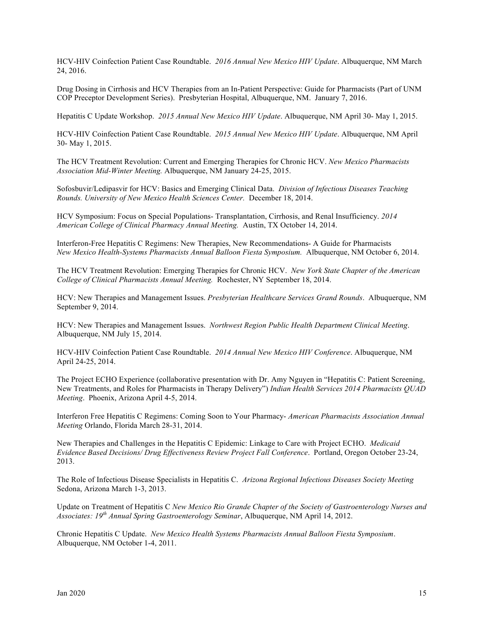HCV-HIV Coinfection Patient Case Roundtable. *2016 Annual New Mexico HIV Update*. Albuquerque, NM March 24, 2016.

Drug Dosing in Cirrhosis and HCV Therapies from an In-Patient Perspective: Guide for Pharmacists (Part of UNM COP Preceptor Development Series). Presbyterian Hospital, Albuquerque, NM. January 7, 2016.

Hepatitis C Update Workshop. *2015 Annual New Mexico HIV Update*. Albuquerque, NM April 30- May 1, 2015.

HCV-HIV Coinfection Patient Case Roundtable. *2015 Annual New Mexico HIV Update*. Albuquerque, NM April 30- May 1, 2015.

The HCV Treatment Revolution: Current and Emerging Therapies for Chronic HCV. *New Mexico Pharmacists Association Mid-Winter Meeting.* Albuquerque, NM January 24-25, 2015.

Sofosbuvir/Ledipasvir for HCV: Basics and Emerging Clinical Data. *Division of Infectious Diseases Teaching Rounds. University of New Mexico Health Sciences Center.* December 18, 2014.

HCV Symposium: Focus on Special Populations- Transplantation, Cirrhosis, and Renal Insufficiency. *2014 American College of Clinical Pharmacy Annual Meeting.* Austin, TX October 14, 2014.

Interferon-Free Hepatitis C Regimens: New Therapies, New Recommendations- A Guide for Pharmacists *New Mexico Health-Systems Pharmacists Annual Balloon Fiesta Symposium.* Albuquerque, NM October 6, 2014.

The HCV Treatment Revolution: Emerging Therapies for Chronic HCV. *New York State Chapter of the American College of Clinical Pharmacists Annual Meeting.* Rochester, NY September 18, 2014.

HCV: New Therapies and Management Issues. *Presbyterian Healthcare Services Grand Rounds*. Albuquerque, NM September 9, 2014.

HCV: New Therapies and Management Issues. *Northwest Region Public Health Department Clinical Meeting*. Albuquerque, NM July 15, 2014.

HCV-HIV Coinfection Patient Case Roundtable. *2014 Annual New Mexico HIV Conference*. Albuquerque, NM April 24-25, 2014.

The Project ECHO Experience (collaborative presentation with Dr. Amy Nguyen in "Hepatitis C: Patient Screening, New Treatments, and Roles for Pharmacists in Therapy Delivery") *Indian Health Services 2014 Pharmacists QUAD Meeting*. Phoenix, Arizona April 4-5, 2014.

Interferon Free Hepatitis C Regimens: Coming Soon to Your Pharmacy- *American Pharmacists Association Annual Meeting* Orlando, Florida March 28-31, 2014.

New Therapies and Challenges in the Hepatitis C Epidemic: Linkage to Care with Project ECHO. *Medicaid Evidence Based Decisions/ Drug Effectiveness Review Project Fall Conference*. Portland, Oregon October 23-24, 2013.

The Role of Infectious Disease Specialists in Hepatitis C. *Arizona Regional Infectious Diseases Society Meeting* Sedona, Arizona March 1-3, 2013.

Update on Treatment of Hepatitis C *New Mexico Rio Grande Chapter of the Society of Gastroenterology Nurses and Associates: 19th Annual Spring Gastroenterology Seminar*, Albuquerque, NM April 14, 2012.

Chronic Hepatitis C Update. *New Mexico Health Systems Pharmacists Annual Balloon Fiesta Symposium*. Albuquerque, NM October 1-4, 2011.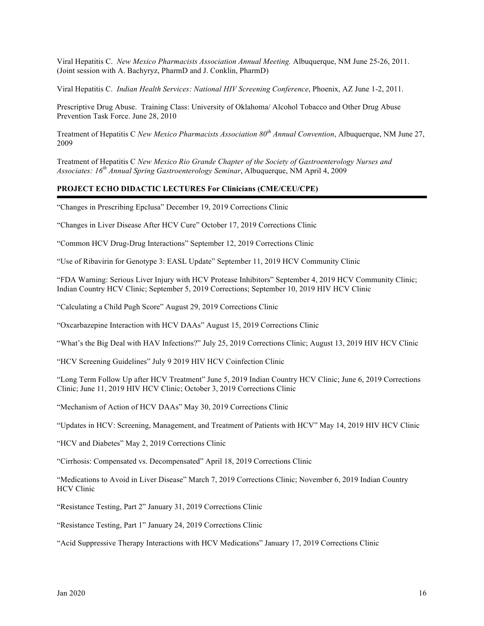Viral Hepatitis C. *New Mexico Pharmacists Association Annual Meeting.* Albuquerque, NM June 25-26, 2011. (Joint session with A. Bachyryz, PharmD and J. Conklin, PharmD)

Viral Hepatitis C. *Indian Health Services: National HIV Screening Conference*, Phoenix, AZ June 1-2, 2011.

Prescriptive Drug Abuse. Training Class: University of Oklahoma/ Alcohol Tobacco and Other Drug Abuse Prevention Task Force. June 28, 2010

Treatment of Hepatitis C *New Mexico Pharmacists Association 80th Annual Convention*, Albuquerque, NM June 27, 2009

Treatment of Hepatitis C *New Mexico Rio Grande Chapter of the Society of Gastroenterology Nurses and Associates: 16th Annual Spring Gastroenterology Seminar*, Albuquerque, NM April 4, 2009

#### **PROJECT ECHO DIDACTIC LECTURES For Clinicians (CME/CEU/CPE)**

"Changes in Prescribing Epclusa" December 19, 2019 Corrections Clinic

"Changes in Liver Disease After HCV Cure" October 17, 2019 Corrections Clinic

"Common HCV Drug-Drug Interactions" September 12, 2019 Corrections Clinic

"Use of Ribavirin for Genotype 3: EASL Update" September 11, 2019 HCV Community Clinic

"FDA Warning: Serious Liver Injury with HCV Protease Inhibitors" September 4, 2019 HCV Community Clinic; Indian Country HCV Clinic; September 5, 2019 Corrections; September 10, 2019 HIV HCV Clinic

"Calculating a Child Pugh Score" August 29, 2019 Corrections Clinic

"Oxcarbazepine Interaction with HCV DAAs" August 15, 2019 Corrections Clinic

"What's the Big Deal with HAV Infections?" July 25, 2019 Corrections Clinic; August 13, 2019 HIV HCV Clinic

"HCV Screening Guidelines" July 9 2019 HIV HCV Coinfection Clinic

"Long Term Follow Up after HCV Treatment" June 5, 2019 Indian Country HCV Clinic; June 6, 2019 Corrections Clinic; June 11, 2019 HIV HCV Clinic; October 3, 2019 Corrections Clinic

"Mechanism of Action of HCV DAAs" May 30, 2019 Corrections Clinic

"Updates in HCV: Screening, Management, and Treatment of Patients with HCV" May 14, 2019 HIV HCV Clinic

"HCV and Diabetes" May 2, 2019 Corrections Clinic

"Cirrhosis: Compensated vs. Decompensated" April 18, 2019 Corrections Clinic

"Medications to Avoid in Liver Disease" March 7, 2019 Corrections Clinic; November 6, 2019 Indian Country HCV Clinic

"Resistance Testing, Part 2" January 31, 2019 Corrections Clinic

"Resistance Testing, Part 1" January 24, 2019 Corrections Clinic

"Acid Suppressive Therapy Interactions with HCV Medications" January 17, 2019 Corrections Clinic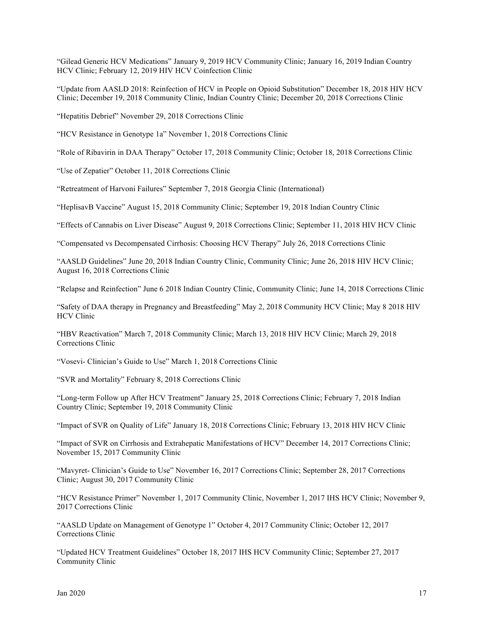"Gilead Generic HCV Medications" January 9, 2019 HCV Community Clinic; January 16, 2019 Indian Country HCV Clinic; February 12, 2019 HIV HCV Coinfection Clinic

"Update from AASLD 2018: Reinfection of HCV in People on Opioid Substitution" December 18, 2018 HIV HCV Clinic; December 19, 2018 Community Clinic, Indian Country Clinic; December 20, 2018 Corrections Clinic

"Hepatitis Debrief" November 29, 2018 Corrections Clinic

"HCV Resistance in Genotype 1a" November 1, 2018 Corrections Clinic

"Role of Ribavirin in DAA Therapy" October 17, 2018 Community Clinic; October 18, 2018 Corrections Clinic

"Use of Zepatier" October 11, 2018 Corrections Clinic

"Retreatment of Harvoni Failures" September 7, 2018 Georgia Clinic (International)

"HeplisavB Vaccine" August 15, 2018 Community Clinic; September 19, 2018 Indian Country Clinic

"Effects of Cannabis on Liver Disease" August 9, 2018 Corrections Clinic; September 11, 2018 HIV HCV Clinic

"Compensated vs Decompensated Cirrhosis: Choosing HCV Therapy" July 26, 2018 Corrections Clinic

"AASLD Guidelines" June 20, 2018 Indian Country Clinic, Community Clinic; June 26, 2018 HIV HCV Clinic; August 16, 2018 Corrections Clinic

"Relapse and Reinfection" June 6 2018 Indian Country Clinic, Community Clinic; June 14, 2018 Corrections Clinic

"Safety of DAA therapy in Pregnancy and Breastfeeding" May 2, 2018 Community HCV Clinic; May 8 2018 HIV HCV Clinic

"HBV Reactivation" March 7, 2018 Community Clinic; March 13, 2018 HIV HCV Clinic; March 29, 2018 Corrections Clinic

"Vosevi- Clinician's Guide to Use" March 1, 2018 Corrections Clinic

"SVR and Mortality" February 8, 2018 Corrections Clinic

"Long-term Follow up After HCV Treatment" January 25, 2018 Corrections Clinic; February 7, 2018 Indian Country Clinic; September 19, 2018 Community Clinic

"Impact of SVR on Quality of Life" January 18, 2018 Corrections Clinic; February 13, 2018 HIV HCV Clinic

"Impact of SVR on Cirrhosis and Extrahepatic Manifestations of HCV" December 14, 2017 Corrections Clinic; November 15, 2017 Community Clinic

"Mavyret- Clinician's Guide to Use" November 16, 2017 Corrections Clinic; September 28, 2017 Corrections Clinic; August 30, 2017 Community Clinic

"HCV Resistance Primer" November 1, 2017 Community Clinic, November 1, 2017 IHS HCV Clinic; November 9, 2017 Corrections Clinic

"AASLD Update on Management of Genotype 1" October 4, 2017 Community Clinic; October 12, 2017 Corrections Clinic

"Updated HCV Treatment Guidelines" October 18, 2017 IHS HCV Community Clinic; September 27, 2017 Community Clinic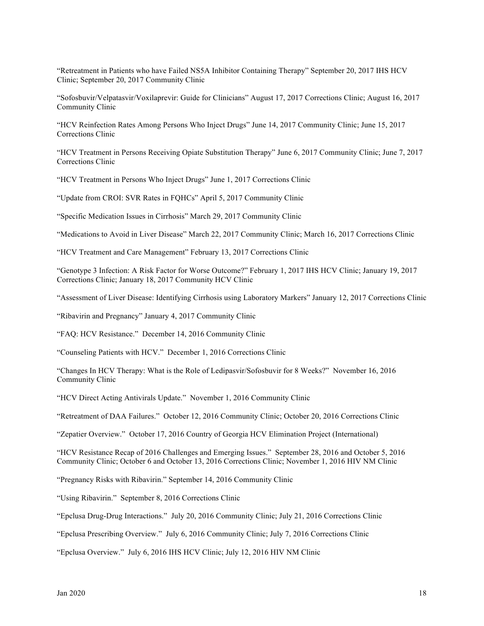"Retreatment in Patients who have Failed NS5A Inhibitor Containing Therapy" September 20, 2017 IHS HCV Clinic; September 20, 2017 Community Clinic

"Sofosbuvir/Velpatasvir/Voxilaprevir: Guide for Clinicians" August 17, 2017 Corrections Clinic; August 16, 2017 Community Clinic

"HCV Reinfection Rates Among Persons Who Inject Drugs" June 14, 2017 Community Clinic; June 15, 2017 Corrections Clinic

"HCV Treatment in Persons Receiving Opiate Substitution Therapy" June 6, 2017 Community Clinic; June 7, 2017 Corrections Clinic

"HCV Treatment in Persons Who Inject Drugs" June 1, 2017 Corrections Clinic

"Update from CROI: SVR Rates in FQHCs" April 5, 2017 Community Clinic

"Specific Medication Issues in Cirrhosis" March 29, 2017 Community Clinic

"Medications to Avoid in Liver Disease" March 22, 2017 Community Clinic; March 16, 2017 Corrections Clinic

"HCV Treatment and Care Management" February 13, 2017 Corrections Clinic

"Genotype 3 Infection: A Risk Factor for Worse Outcome?" February 1, 2017 IHS HCV Clinic; January 19, 2017 Corrections Clinic; January 18, 2017 Community HCV Clinic

"Assessment of Liver Disease: Identifying Cirrhosis using Laboratory Markers" January 12, 2017 Corrections Clinic

"Ribavirin and Pregnancy" January 4, 2017 Community Clinic

"FAQ: HCV Resistance." December 14, 2016 Community Clinic

"Counseling Patients with HCV." December 1, 2016 Corrections Clinic

"Changes In HCV Therapy: What is the Role of Ledipasvir/Sofosbuvir for 8 Weeks?" November 16, 2016 Community Clinic

"HCV Direct Acting Antivirals Update." November 1, 2016 Community Clinic

"Retreatment of DAA Failures." October 12, 2016 Community Clinic; October 20, 2016 Corrections Clinic

"Zepatier Overview." October 17, 2016 Country of Georgia HCV Elimination Project (International)

"HCV Resistance Recap of 2016 Challenges and Emerging Issues." September 28, 2016 and October 5, 2016 Community Clinic; October 6 and October 13, 2016 Corrections Clinic; November 1, 2016 HIV NM Clinic

"Pregnancy Risks with Ribavirin." September 14, 2016 Community Clinic

"Using Ribavirin." September 8, 2016 Corrections Clinic

"Epclusa Drug-Drug Interactions." July 20, 2016 Community Clinic; July 21, 2016 Corrections Clinic

"Epclusa Prescribing Overview." July 6, 2016 Community Clinic; July 7, 2016 Corrections Clinic

"Epclusa Overview." July 6, 2016 IHS HCV Clinic; July 12, 2016 HIV NM Clinic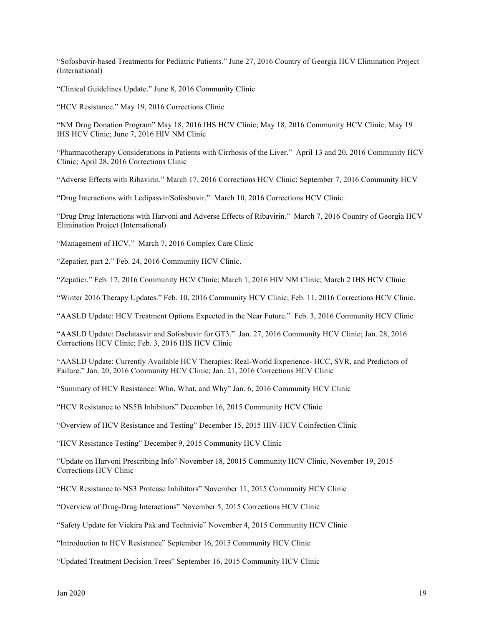"Sofosbuvir-based Treatments for Pediatric Patients." June 27, 2016 Country of Georgia HCV Elimination Project (International)

"Clinical Guidelines Update." June 8, 2016 Community Clinic

"HCV Resistance." May 19, 2016 Corrections Clinic

"NM Drug Donation Program" May 18, 2016 IHS HCV Clinic; May 18, 2016 Community HCV Clinic; May 19 IHS HCV Clinic; June 7, 2016 HIV NM Clinic

"Pharmacotherapy Considerations in Patients with Cirrhosis of the Liver." April 13 and 20, 2016 Community HCV Clinic; April 28, 2016 Corrections Clinic

"Adverse Effects with Ribavirin." March 17, 2016 Corrections HCV Clinic; September 7, 2016 Community HCV

"Drug Interactions with Ledipasvir/Sofosbuvir." March 10, 2016 Corrections HCV Clinic.

"Drug Drug Interactions with Harvoni and Adverse Effects of Ribavirin." March 7, 2016 Country of Georgia HCV Elimination Project (International)

"Management of HCV." March 7, 2016 Complex Care Clinic

"Zepatier, part 2." Feb. 24, 2016 Community HCV Clinic.

"Zepatier." Feb. 17, 2016 Community HCV Clinic; March 1, 2016 HIV NM Clinic; March 2 IHS HCV Clinic

"Winter 2016 Therapy Updates." Feb. 10, 2016 Community HCV Clinic; Feb. 11, 2016 Corrections HCV Clinic.

"AASLD Update: HCV Treatment Options Expected in the Near Future." Feb. 3, 2016 Community HCV Clinic

"AASLD Update: Daclatasvir and Sofosbuvir for GT3." Jan. 27, 2016 Community HCV Clinic; Jan. 28, 2016 Corrections HCV Clinic; Feb. 3, 2016 IHS HCV Clinic

"AASLD Update: Currently Available HCV Therapies: Real-World Experience- HCC, SVR, and Predictors of Failure." Jan. 20, 2016 Community HCV Clinic; Jan. 21, 2016 Corrections HCV Clinic

"Summary of HCV Resistance: Who, What, and Why" Jan. 6, 2016 Community HCV Clinic

"HCV Resistance to NS5B Inhibitors" December 16, 2015 Community HCV Clinic

"Overview of HCV Resistance and Testing" December 15, 2015 HIV-HCV Coinfection Clinic

"HCV Resistance Testing" December 9, 2015 Community HCV Clinic

"Update on Harvoni Prescribing Info" November 18, 20015 Community HCV Clinic, November 19, 2015 Corrections HCV Clinic

"HCV Resistance to NS3 Protease Inhibitors" November 11, 2015 Community HCV Clinic

"Overview of Drug-Drug Interactions" November 5, 2015 Corrections HCV Clinic

"Safety Update for Viekira Pak and Technivie" November 4, 2015 Community HCV Clinic

"Introduction to HCV Resistance" September 16, 2015 Community HCV Clinic

"Updated Treatment Decision Trees" September 16, 2015 Community HCV Clinic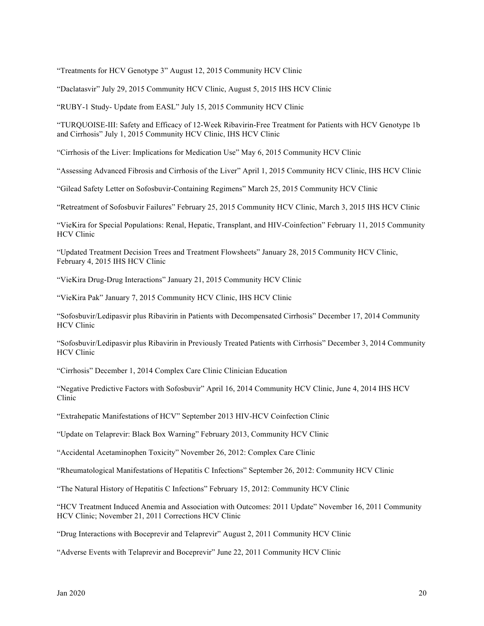"Treatments for HCV Genotype 3" August 12, 2015 Community HCV Clinic

"Daclatasvir" July 29, 2015 Community HCV Clinic, August 5, 2015 IHS HCV Clinic

"RUBY-1 Study- Update from EASL" July 15, 2015 Community HCV Clinic

"TURQUOISE-III: Safety and Efficacy of 12-Week Ribavirin-Free Treatment for Patients with HCV Genotype 1b and Cirrhosis" July 1, 2015 Community HCV Clinic, IHS HCV Clinic

"Cirrhosis of the Liver: Implications for Medication Use" May 6, 2015 Community HCV Clinic

"Assessing Advanced Fibrosis and Cirrhosis of the Liver" April 1, 2015 Community HCV Clinic, IHS HCV Clinic

"Gilead Safety Letter on Sofosbuvir-Containing Regimens" March 25, 2015 Community HCV Clinic

"Retreatment of Sofosbuvir Failures" February 25, 2015 Community HCV Clinic, March 3, 2015 IHS HCV Clinic

"VieKira for Special Populations: Renal, Hepatic, Transplant, and HIV-Coinfection" February 11, 2015 Community HCV Clinic

"Updated Treatment Decision Trees and Treatment Flowsheets" January 28, 2015 Community HCV Clinic, February 4, 2015 IHS HCV Clinic

"VieKira Drug-Drug Interactions" January 21, 2015 Community HCV Clinic

"VieKira Pak" January 7, 2015 Community HCV Clinic, IHS HCV Clinic

"Sofosbuvir/Ledipasvir plus Ribavirin in Patients with Decompensated Cirrhosis" December 17, 2014 Community HCV Clinic

"Sofosbuvir/Ledipasvir plus Ribavirin in Previously Treated Patients with Cirrhosis" December 3, 2014 Community HCV Clinic

"Cirrhosis" December 1, 2014 Complex Care Clinic Clinician Education

"Negative Predictive Factors with Sofosbuvir" April 16, 2014 Community HCV Clinic, June 4, 2014 IHS HCV Clinic

"Extrahepatic Manifestations of HCV" September 2013 HIV-HCV Coinfection Clinic

"Update on Telaprevir: Black Box Warning" February 2013, Community HCV Clinic

"Accidental Acetaminophen Toxicity" November 26, 2012: Complex Care Clinic

"Rheumatological Manifestations of Hepatitis C Infections" September 26, 2012: Community HCV Clinic

"The Natural History of Hepatitis C Infections" February 15, 2012: Community HCV Clinic

"HCV Treatment Induced Anemia and Association with Outcomes: 2011 Update" November 16, 2011 Community HCV Clinic; November 21, 2011 Corrections HCV Clinic

"Drug Interactions with Boceprevir and Telaprevir" August 2, 2011 Community HCV Clinic

"Adverse Events with Telaprevir and Boceprevir" June 22, 2011 Community HCV Clinic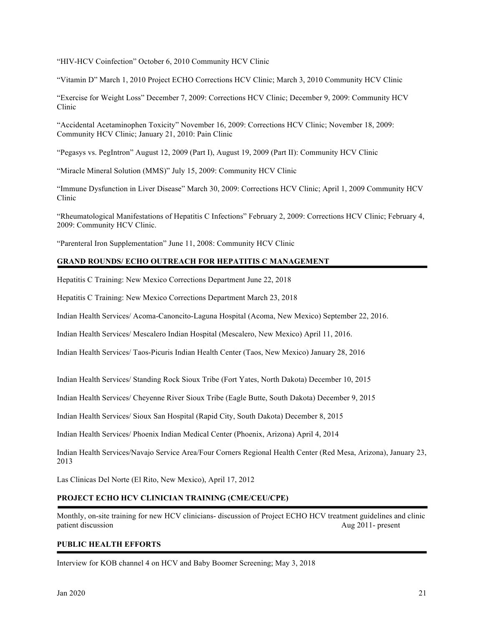"HIV-HCV Coinfection" October 6, 2010 Community HCV Clinic

"Vitamin D" March 1, 2010 Project ECHO Corrections HCV Clinic; March 3, 2010 Community HCV Clinic

"Exercise for Weight Loss" December 7, 2009: Corrections HCV Clinic; December 9, 2009: Community HCV Clinic

"Accidental Acetaminophen Toxicity" November 16, 2009: Corrections HCV Clinic; November 18, 2009: Community HCV Clinic; January 21, 2010: Pain Clinic

"Pegasys vs. PegIntron" August 12, 2009 (Part I), August 19, 2009 (Part II): Community HCV Clinic

"Miracle Mineral Solution (MMS)" July 15, 2009: Community HCV Clinic

"Immune Dysfunction in Liver Disease" March 30, 2009: Corrections HCV Clinic; April 1, 2009 Community HCV Clinic

"Rheumatological Manifestations of Hepatitis C Infections" February 2, 2009: Corrections HCV Clinic; February 4, 2009: Community HCV Clinic.

"Parenteral Iron Supplementation" June 11, 2008: Community HCV Clinic

#### **GRAND ROUNDS/ ECHO OUTREACH FOR HEPATITIS C MANAGEMENT**

Hepatitis C Training: New Mexico Corrections Department June 22, 2018

Hepatitis C Training: New Mexico Corrections Department March 23, 2018

Indian Health Services/ Acoma-Canoncito-Laguna Hospital (Acoma, New Mexico) September 22, 2016.

Indian Health Services/ Mescalero Indian Hospital (Mescalero, New Mexico) April 11, 2016.

Indian Health Services/ Taos-Picuris Indian Health Center (Taos, New Mexico) January 28, 2016

Indian Health Services/ Standing Rock Sioux Tribe (Fort Yates, North Dakota) December 10, 2015

Indian Health Services/ Cheyenne River Sioux Tribe (Eagle Butte, South Dakota) December 9, 2015

Indian Health Services/ Sioux San Hospital (Rapid City, South Dakota) December 8, 2015

Indian Health Services/ Phoenix Indian Medical Center (Phoenix, Arizona) April 4, 2014

Indian Health Services/Navajo Service Area/Four Corners Regional Health Center (Red Mesa, Arizona), January 23, 2013

Las Clinicas Del Norte (El Rito, New Mexico), April 17, 2012

## **PROJECT ECHO HCV CLINICIAN TRAINING (CME/CEU/CPE)**

Monthly, on-site training for new HCV clinicians- discussion of Project ECHO HCV treatment guidelines and clinic patient discussion Aug 2011- present

#### **PUBLIC HEALTH EFFORTS**

Interview for KOB channel 4 on HCV and Baby Boomer Screening; May 3, 2018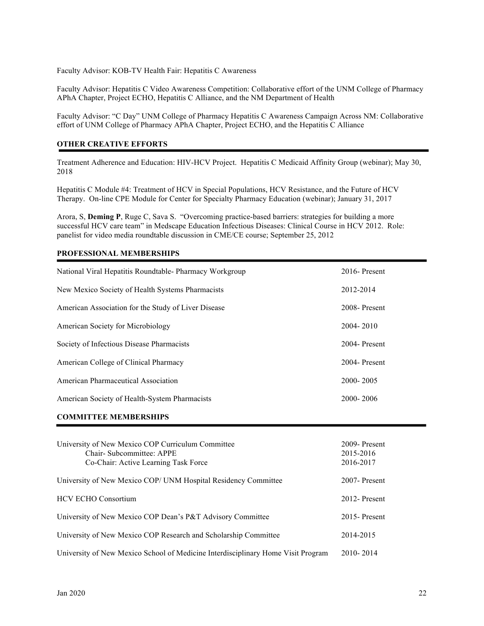Faculty Advisor: KOB-TV Health Fair: Hepatitis C Awareness

Faculty Advisor: Hepatitis C Video Awareness Competition: Collaborative effort of the UNM College of Pharmacy APhA Chapter, Project ECHO, Hepatitis C Alliance, and the NM Department of Health

Faculty Advisor: "C Day" UNM College of Pharmacy Hepatitis C Awareness Campaign Across NM: Collaborative effort of UNM College of Pharmacy APhA Chapter, Project ECHO, and the Hepatitis C Alliance

#### **OTHER CREATIVE EFFORTS**

Treatment Adherence and Education: HIV-HCV Project. Hepatitis C Medicaid Affinity Group (webinar); May 30, 2018

Hepatitis C Module #4: Treatment of HCV in Special Populations, HCV Resistance, and the Future of HCV Therapy. On-line CPE Module for Center for Specialty Pharmacy Education (webinar); January 31, 2017

Arora, S, **Deming P**, Ruge C, Sava S. "Overcoming practice-based barriers: strategies for building a more successful HCV care team" in Medscape Education Infectious Diseases: Clinical Course in HCV 2012. Role: panelist for video media roundtable discussion in CME/CE course; September 25, 2012

# National Viral Hepatitis Roundtable- Pharmacy Workgroup 2016- Present New Mexico Society of Health Systems Pharmacists 2012-2014 American Association for the Study of Liver Disease 2008- Present American Society for Microbiology 2004- 2010 Society of Infectious Disease Pharmacists 2004- Present American College of Clinical Pharmacy 2004- Present American Pharmaceutical Association 2006-2005 American Society of Health-System Pharmacists 2000- 2006 **COMMITTEE MEMBERSHIPS** University of New Mexico COP Curriculum Committee 2009- Present Chair- Subcommittee: APPE 2015-2016 Co-Chair: Active Learning Task Force 2016-2017 University of New Mexico COP/ UNM Hospital Residency Committee 2007- Present HCV ECHO Consortium 2012- Present University of New Mexico COP Dean's P&T Advisory Committee 2015- Present University of New Mexico COP Research and Scholarship Committee 2014-2015

#### **PROFESSIONAL MEMBERSHIPS**